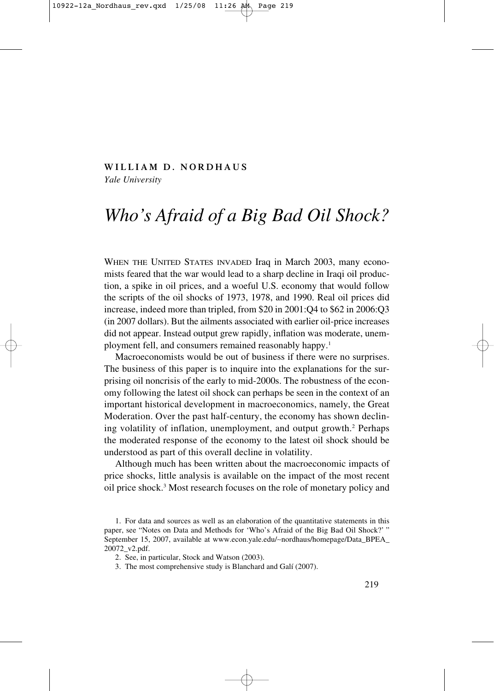#### **WILLIAM D. NORDHAUS**

*Yale University*

# *Who's Afraid of a Big Bad Oil Shock?*

WHEN THE UNITED STATES INVADED Iraq in March 2003, many economists feared that the war would lead to a sharp decline in Iraqi oil production, a spike in oil prices, and a woeful U.S. economy that would follow the scripts of the oil shocks of 1973, 1978, and 1990. Real oil prices did increase, indeed more than tripled, from \$20 in 2001:Q4 to \$62 in 2006:Q3 (in 2007 dollars). But the ailments associated with earlier oil-price increases did not appear. Instead output grew rapidly, inflation was moderate, unemployment fell, and consumers remained reasonably happy.<sup>1</sup>

Macroeconomists would be out of business if there were no surprises. The business of this paper is to inquire into the explanations for the surprising oil noncrisis of the early to mid-2000s. The robustness of the economy following the latest oil shock can perhaps be seen in the context of an important historical development in macroeconomics, namely, the Great Moderation. Over the past half-century, the economy has shown declining volatility of inflation, unemployment, and output growth.<sup>2</sup> Perhaps the moderated response of the economy to the latest oil shock should be understood as part of this overall decline in volatility.

Although much has been written about the macroeconomic impacts of price shocks, little analysis is available on the impact of the most recent oil price shock.3 Most research focuses on the role of monetary policy and

<sup>1.</sup> For data and sources as well as an elaboration of the quantitative statements in this paper, see "Notes on Data and Methods for 'Who's Afraid of the Big Bad Oil Shock?' " September 15, 2007, available at www.econ.yale.edu/∼nordhaus/homepage/Data\_BPEA\_ 20072\_v2.pdf.

<sup>2.</sup> See, in particular, Stock and Watson (2003).

<sup>3.</sup> The most comprehensive study is Blanchard and Galí (2007).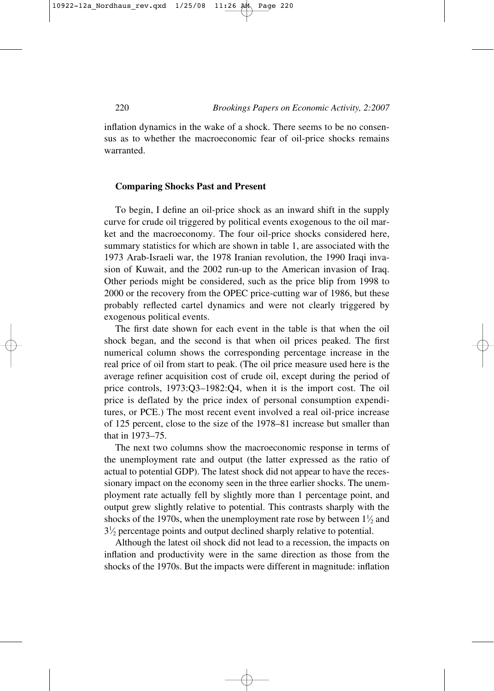inflation dynamics in the wake of a shock. There seems to be no consensus as to whether the macroeconomic fear of oil-price shocks remains warranted.

#### **Comparing Shocks Past and Present**

To begin, I define an oil-price shock as an inward shift in the supply curve for crude oil triggered by political events exogenous to the oil market and the macroeconomy. The four oil-price shocks considered here, summary statistics for which are shown in table 1, are associated with the 1973 Arab-Israeli war, the 1978 Iranian revolution, the 1990 Iraqi invasion of Kuwait, and the 2002 run-up to the American invasion of Iraq. Other periods might be considered, such as the price blip from 1998 to 2000 or the recovery from the OPEC price-cutting war of 1986, but these probably reflected cartel dynamics and were not clearly triggered by exogenous political events.

The first date shown for each event in the table is that when the oil shock began, and the second is that when oil prices peaked. The first numerical column shows the corresponding percentage increase in the real price of oil from start to peak. (The oil price measure used here is the average refiner acquisition cost of crude oil, except during the period of price controls, 1973:Q3–1982:Q4, when it is the import cost. The oil price is deflated by the price index of personal consumption expenditures, or PCE.) The most recent event involved a real oil-price increase of 125 percent, close to the size of the 1978–81 increase but smaller than that in 1973–75.

The next two columns show the macroeconomic response in terms of the unemployment rate and output (the latter expressed as the ratio of actual to potential GDP). The latest shock did not appear to have the recessionary impact on the economy seen in the three earlier shocks. The unemployment rate actually fell by slightly more than 1 percentage point, and output grew slightly relative to potential. This contrasts sharply with the shocks of the 1970s, when the unemployment rate rose by between  $1\frac{1}{2}$  and ⁄ 31 <sup>2</sup> percentage points and output declined sharply relative to potential. ⁄

Although the latest oil shock did not lead to a recession, the impacts on inflation and productivity were in the same direction as those from the shocks of the 1970s. But the impacts were different in magnitude: inflation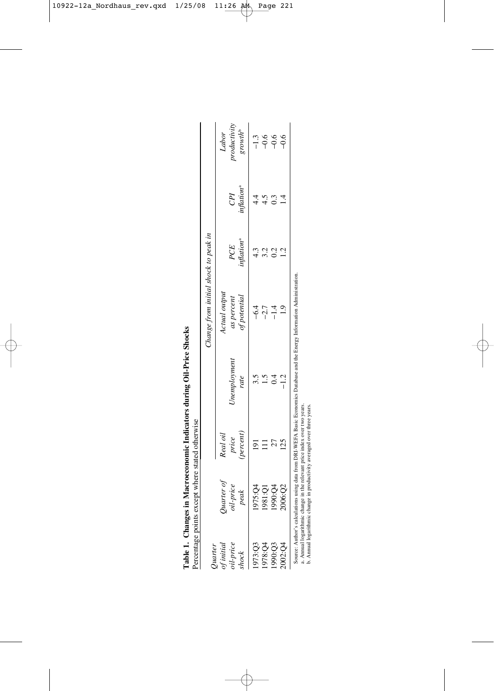| Quarter                         |                                 |                               |                     | Change from initial shock to peak in       |                              |                               |                                             |
|---------------------------------|---------------------------------|-------------------------------|---------------------|--------------------------------------------|------------------------------|-------------------------------|---------------------------------------------|
| oil-price<br>of initia<br>shock | Quarter of<br>oil-price<br>peak | leal oil<br>price<br>percent) | Jnemploymen<br>rate | Ctual output<br>of potential<br>as percent | nflation <sup>a</sup><br>PCE | inflation <sup>a</sup><br>CPI | roductivity<br>growth <sup>b</sup><br>Labor |
| 973:Q3                          |                                 |                               |                     |                                            |                              |                               | $-1.3$                                      |
| 1978:Q4                         | 1975:Q4<br>1981:Q1<br>190:Q4    |                               |                     | $-2.7$                                     |                              |                               |                                             |
| 990:Q3                          |                                 |                               |                     |                                            |                              |                               | ه به به<br>۱۳۹                              |
| 002:Q4                          | 2006:Q2                         |                               |                     | $\frac{0}{1}$                              | 2]                           |                               |                                             |

a. Annual logarithmic change in the relevant price index over two years.

a. Annual logarithmic change in the relevant price index over two years.<br>b. Annual logarithmic change in productivity averaged over three years. b. Annual logarithmic change in productivity averaged over three years.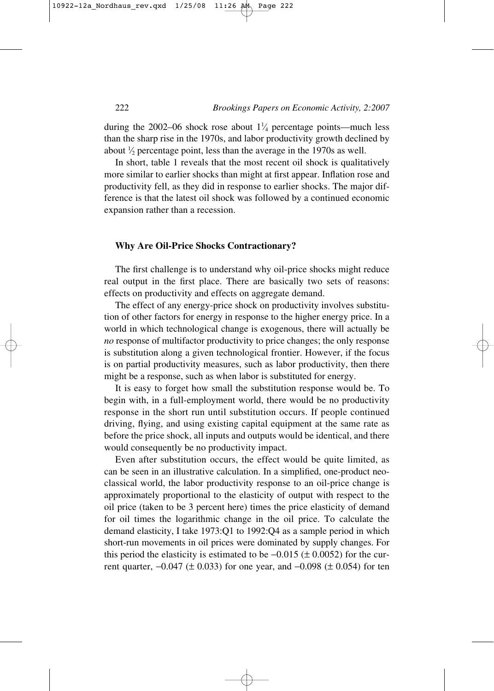during the 2002–06 shock rose about  $1\frac{1}{4}$  percentage points—much less ⁄ than the sharp rise in the 1970s, and labor productivity growth declined by about  $\frac{1}{2}$  percentage point, less than the average in the 1970s as well. ⁄

In short, table 1 reveals that the most recent oil shock is qualitatively more similar to earlier shocks than might at first appear. Inflation rose and productivity fell, as they did in response to earlier shocks. The major difference is that the latest oil shock was followed by a continued economic expansion rather than a recession.

# **Why Are Oil-Price Shocks Contractionary?**

The first challenge is to understand why oil-price shocks might reduce real output in the first place. There are basically two sets of reasons: effects on productivity and effects on aggregate demand.

The effect of any energy-price shock on productivity involves substitution of other factors for energy in response to the higher energy price. In a world in which technological change is exogenous, there will actually be *no* response of multifactor productivity to price changes; the only response is substitution along a given technological frontier. However, if the focus is on partial productivity measures, such as labor productivity, then there might be a response, such as when labor is substituted for energy.

It is easy to forget how small the substitution response would be. To begin with, in a full-employment world, there would be no productivity response in the short run until substitution occurs. If people continued driving, flying, and using existing capital equipment at the same rate as before the price shock, all inputs and outputs would be identical, and there would consequently be no productivity impact.

Even after substitution occurs, the effect would be quite limited, as can be seen in an illustrative calculation. In a simplified, one-product neoclassical world, the labor productivity response to an oil-price change is approximately proportional to the elasticity of output with respect to the oil price (taken to be 3 percent here) times the price elasticity of demand for oil times the logarithmic change in the oil price. To calculate the demand elasticity, I take 1973:Q1 to 1992:Q4 as a sample period in which short-run movements in oil prices were dominated by supply changes. For this period the elasticity is estimated to be  $-0.015$  ( $\pm$  0.0052) for the current quarter,  $-0.047$  (± 0.033) for one year, and  $-0.098$  (± 0.054) for ten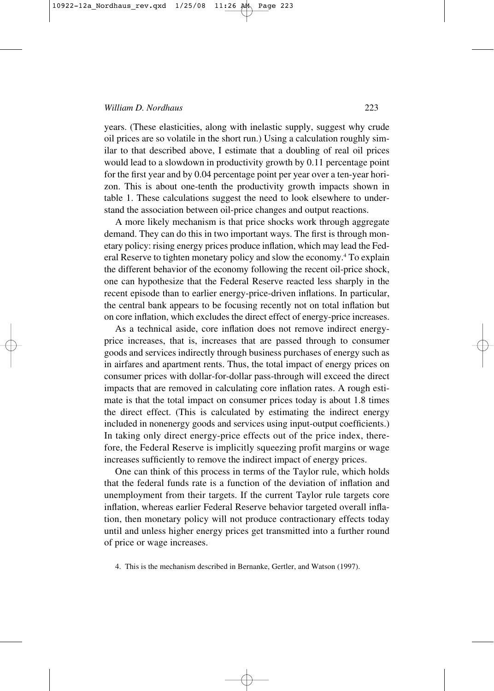years. (These elasticities, along with inelastic supply, suggest why crude oil prices are so volatile in the short run.) Using a calculation roughly similar to that described above, I estimate that a doubling of real oil prices would lead to a slowdown in productivity growth by 0.11 percentage point for the first year and by 0.04 percentage point per year over a ten-year horizon. This is about one-tenth the productivity growth impacts shown in table 1. These calculations suggest the need to look elsewhere to understand the association between oil-price changes and output reactions.

A more likely mechanism is that price shocks work through aggregate demand. They can do this in two important ways. The first is through monetary policy: rising energy prices produce inflation, which may lead the Federal Reserve to tighten monetary policy and slow the economy.4 To explain the different behavior of the economy following the recent oil-price shock, one can hypothesize that the Federal Reserve reacted less sharply in the recent episode than to earlier energy-price-driven inflations. In particular, the central bank appears to be focusing recently not on total inflation but on core inflation, which excludes the direct effect of energy-price increases.

As a technical aside, core inflation does not remove indirect energyprice increases, that is, increases that are passed through to consumer goods and services indirectly through business purchases of energy such as in airfares and apartment rents. Thus, the total impact of energy prices on consumer prices with dollar-for-dollar pass-through will exceed the direct impacts that are removed in calculating core inflation rates. A rough estimate is that the total impact on consumer prices today is about 1.8 times the direct effect. (This is calculated by estimating the indirect energy included in nonenergy goods and services using input-output coefficients.) In taking only direct energy-price effects out of the price index, therefore, the Federal Reserve is implicitly squeezing profit margins or wage increases sufficiently to remove the indirect impact of energy prices.

One can think of this process in terms of the Taylor rule, which holds that the federal funds rate is a function of the deviation of inflation and unemployment from their targets. If the current Taylor rule targets core inflation, whereas earlier Federal Reserve behavior targeted overall inflation, then monetary policy will not produce contractionary effects today until and unless higher energy prices get transmitted into a further round of price or wage increases.

4. This is the mechanism described in Bernanke, Gertler, and Watson (1997).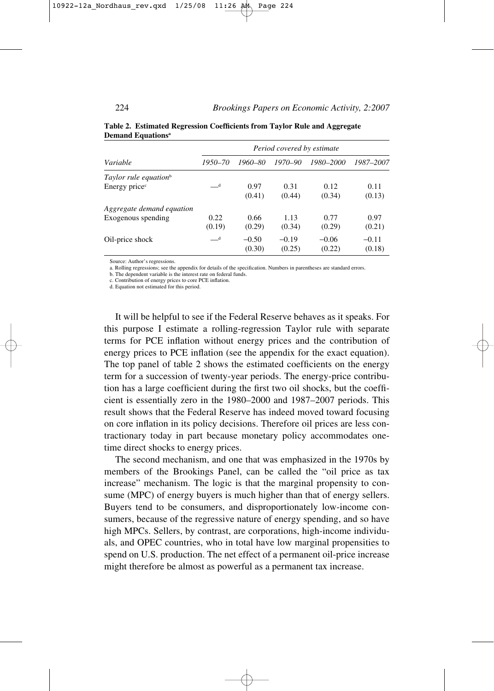|                                   | Period covered by estimate |         |         |           |           |  |
|-----------------------------------|----------------------------|---------|---------|-----------|-----------|--|
| Variable                          | 1950–70                    | 1960–80 | 1970-90 | 1980–2000 | 1987-2007 |  |
| Taylor rule equation <sup>b</sup> |                            |         |         |           |           |  |
| Energy price <sup>c</sup>         | $-d$                       | 0.97    | 0.31    | 0.12      | 0.11      |  |
|                                   |                            | (0.41)  | (0.44)  | (0.34)    | (0.13)    |  |
| Aggregate demand equation         |                            |         |         |           |           |  |
| Exogenous spending                | 0.22                       | 0.66    | 1.13    | 0.77      | 0.97      |  |
|                                   | (0.19)                     | (0.29)  | (0.34)  | (0.29)    | (0.21)    |  |
| Oil-price shock                   | $-d$                       | $-0.50$ | $-0.19$ | $-0.06$   | $-0.11$   |  |
|                                   |                            | (0.30)  | (0.25)  | (0.22)    | (0.18)    |  |

#### **Table 2. Estimated Regression Coefficients from Taylor Rule and Aggregate Demand Equationsa**

Source: Author's regressions.

a. Rolling regressions; see the appendix for details of the specification. Numbers in parentheses are standard errors.

b. The dependent variable is the interest rate on federal funds.

c. Contribution of energy prices to core PCE inflation.

d. Equation not estimated for this period.

It will be helpful to see if the Federal Reserve behaves as it speaks. For this purpose I estimate a rolling-regression Taylor rule with separate terms for PCE inflation without energy prices and the contribution of energy prices to PCE inflation (see the appendix for the exact equation). The top panel of table 2 shows the estimated coefficients on the energy term for a succession of twenty-year periods. The energy-price contribution has a large coefficient during the first two oil shocks, but the coefficient is essentially zero in the 1980–2000 and 1987–2007 periods. This result shows that the Federal Reserve has indeed moved toward focusing on core inflation in its policy decisions. Therefore oil prices are less contractionary today in part because monetary policy accommodates onetime direct shocks to energy prices.

The second mechanism, and one that was emphasized in the 1970s by members of the Brookings Panel, can be called the "oil price as tax increase" mechanism. The logic is that the marginal propensity to consume (MPC) of energy buyers is much higher than that of energy sellers. Buyers tend to be consumers, and disproportionately low-income consumers, because of the regressive nature of energy spending, and so have high MPCs. Sellers, by contrast, are corporations, high-income individuals, and OPEC countries, who in total have low marginal propensities to spend on U.S. production. The net effect of a permanent oil-price increase might therefore be almost as powerful as a permanent tax increase.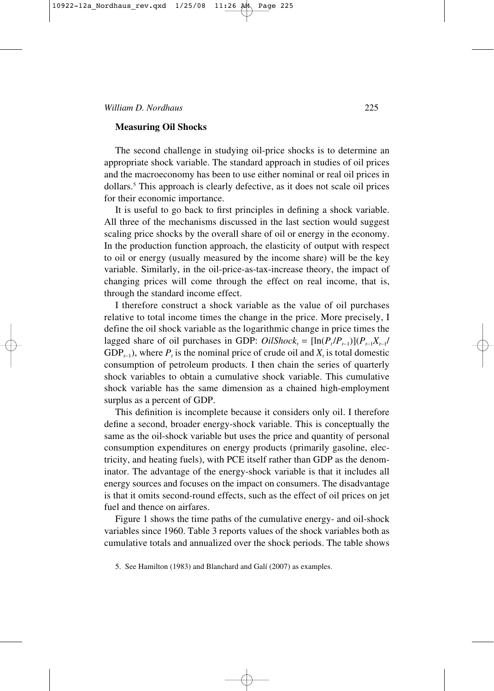# **Measuring Oil Shocks**

The second challenge in studying oil-price shocks is to determine an appropriate shock variable. The standard approach in studies of oil prices and the macroeconomy has been to use either nominal or real oil prices in dollars.5 This approach is clearly defective, as it does not scale oil prices for their economic importance.

It is useful to go back to first principles in defining a shock variable. All three of the mechanisms discussed in the last section would suggest scaling price shocks by the overall share of oil or energy in the economy. In the production function approach, the elasticity of output with respect to oil or energy (usually measured by the income share) will be the key variable. Similarly, in the oil-price-as-tax-increase theory, the impact of changing prices will come through the effect on real income, that is, through the standard income effect.

I therefore construct a shock variable as the value of oil purchases relative to total income times the change in the price. More precisely, I define the oil shock variable as the logarithmic change in price times the lagged share of oil purchases in GDP:  $OilShow_{t} = [\ln(P_t/P_{t-1})](P_{t-1}X_{t-1}/P_{t-1})$ GDP<sub> $t-1$ </sub>), where *P<sub>t</sub>* is the nominal price of crude oil and *X<sub>t</sub>* is total domestic consumption of petroleum products. I then chain the series of quarterly shock variables to obtain a cumulative shock variable. This cumulative shock variable has the same dimension as a chained high-employment surplus as a percent of GDP.

This definition is incomplete because it considers only oil. I therefore define a second, broader energy-shock variable. This is conceptually the same as the oil-shock variable but uses the price and quantity of personal consumption expenditures on energy products (primarily gasoline, electricity, and heating fuels), with PCE itself rather than GDP as the denominator. The advantage of the energy-shock variable is that it includes all energy sources and focuses on the impact on consumers. The disadvantage is that it omits second-round effects, such as the effect of oil prices on jet fuel and thence on airfares.

Figure 1 shows the time paths of the cumulative energy- and oil-shock variables since 1960. Table 3 reports values of the shock variables both as cumulative totals and annualized over the shock periods. The table shows

<sup>5.</sup> See Hamilton (1983) and Blanchard and Galí (2007) as examples.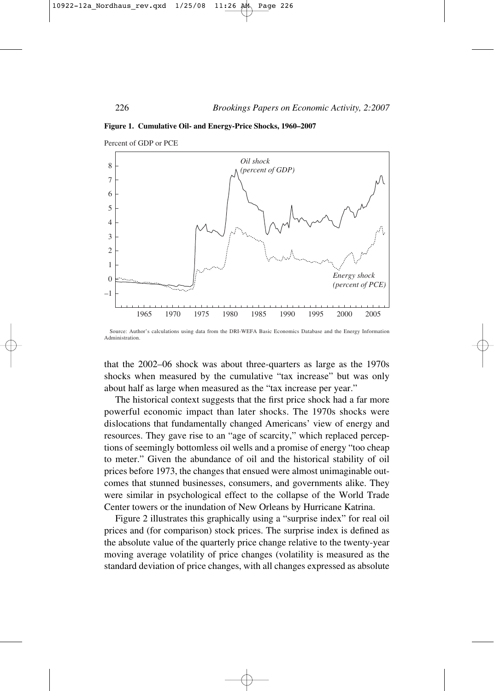

**Figure 1. Cumulative Oil- and Energy-Price Shocks, 1960–2007**

that the 2002–06 shock was about three-quarters as large as the 1970s shocks when measured by the cumulative "tax increase" but was only about half as large when measured as the "tax increase per year."

The historical context suggests that the first price shock had a far more powerful economic impact than later shocks. The 1970s shocks were dislocations that fundamentally changed Americans' view of energy and resources. They gave rise to an "age of scarcity," which replaced perceptions of seemingly bottomless oil wells and a promise of energy "too cheap to meter." Given the abundance of oil and the historical stability of oil prices before 1973, the changes that ensued were almost unimaginable outcomes that stunned businesses, consumers, and governments alike. They were similar in psychological effect to the collapse of the World Trade Center towers or the inundation of New Orleans by Hurricane Katrina.

Figure 2 illustrates this graphically using a "surprise index" for real oil prices and (for comparison) stock prices. The surprise index is defined as the absolute value of the quarterly price change relative to the twenty-year moving average volatility of price changes (volatility is measured as the standard deviation of price changes, with all changes expressed as absolute

Source: Author's calculations using data from the DRI-WEFA Basic Economics Database and the Energy Information Administration.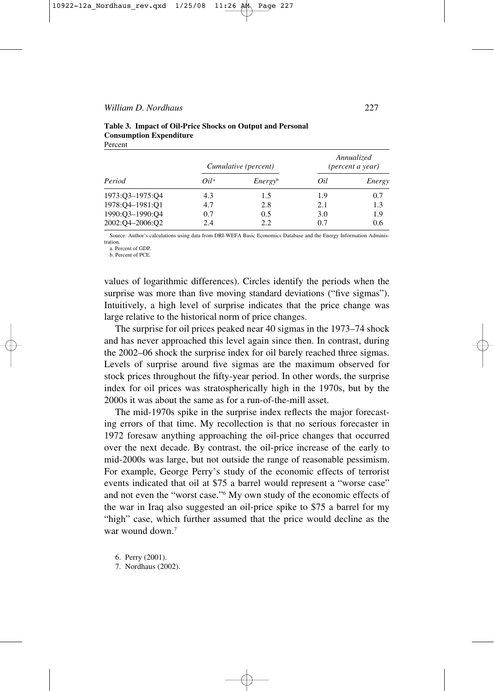|                 |         | Cumulative (percent) | Annualized<br>(percent a year) |        |
|-----------------|---------|----------------------|--------------------------------|--------|
| Period          | $Oil^a$ | Energy <sup>b</sup>  | Oil                            | Energy |
| 1973:Q3-1975:Q4 | 4.3     | 1.5                  | 1.9                            | 0.7    |
| 1978:04-1981:01 | 4.7     | 2.8                  | 2.1                            | 1.3    |
| 1990:Q3-1990:Q4 | 0.7     | 0.5                  | 3.0                            | 1.9    |
| 2002:04-2006:02 | 2.4     | 2.2                  | 0.7                            | 0.6    |

|         | Table 3. Impact of Oil-Price Shocks on Output and Personal |  |  |
|---------|------------------------------------------------------------|--|--|
|         | <b>Consumption Expenditure</b>                             |  |  |
| Percent |                                                            |  |  |

Source: Author's calculations using data from DRI-WEFA Basic Economics Database and the Energy Information Administration.

a. Percent of GDP. b. Percent of PCE.

values of logarithmic differences). Circles identify the periods when the surprise was more than five moving standard deviations ("five sigmas"). Intuitively, a high level of surprise indicates that the price change was large relative to the historical norm of price changes.

The surprise for oil prices peaked near 40 sigmas in the 1973–74 shock and has never approached this level again since then. In contrast, during the 2002–06 shock the surprise index for oil barely reached three sigmas. Levels of surprise around five sigmas are the maximum observed for stock prices throughout the fifty-year period. In other words, the surprise index for oil prices was stratospherically high in the 1970s, but by the 2000s it was about the same as for a run-of-the-mill asset.

The mid-1970s spike in the surprise index reflects the major forecasting errors of that time. My recollection is that no serious forecaster in 1972 foresaw anything approaching the oil-price changes that occurred over the next decade. By contrast, the oil-price increase of the early to mid-2000s was large, but not outside the range of reasonable pessimism. For example, George Perry's study of the economic effects of terrorist events indicated that oil at \$75 a barrel would represent a "worse case" and not even the "worst case."6 My own study of the economic effects of the war in Iraq also suggested an oil-price spike to \$75 a barrel for my "high" case, which further assumed that the price would decline as the war wound down.<sup>7</sup>

6. Perry (2001).

7. Nordhaus (2002).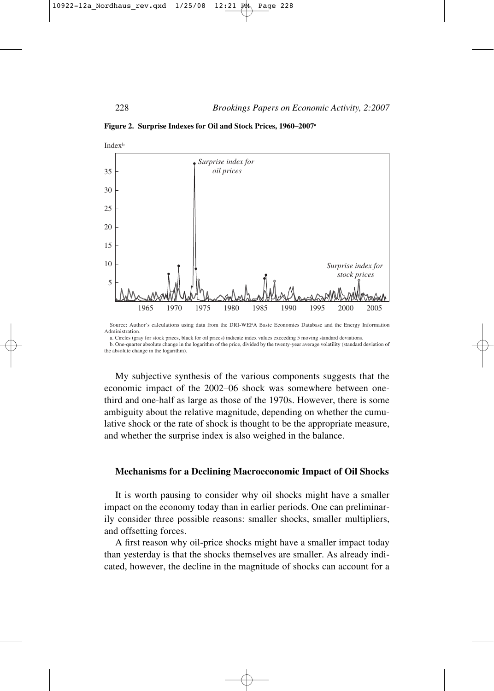**Figure 2. Surprise Indexes for Oil and Stock Prices, 1960–2007a**



Source: Author's calculations using data from the DRI-WEFA Basic Economics Database and the Energy Information Administration.

a. Circles (gray for stock prices, black for oil prices) indicate index values exceeding 5 moving standard deviations. b. One-quarter absolute change in the logarithm of the price, divided by the twenty-year average volatility (standard deviation of the absolute change in the logarithm).

My subjective synthesis of the various components suggests that the economic impact of the 2002–06 shock was somewhere between onethird and one-half as large as those of the 1970s. However, there is some ambiguity about the relative magnitude, depending on whether the cumulative shock or the rate of shock is thought to be the appropriate measure, and whether the surprise index is also weighed in the balance.

# **Mechanisms for a Declining Macroeconomic Impact of Oil Shocks**

It is worth pausing to consider why oil shocks might have a smaller impact on the economy today than in earlier periods. One can preliminarily consider three possible reasons: smaller shocks, smaller multipliers, and offsetting forces.

A first reason why oil-price shocks might have a smaller impact today than yesterday is that the shocks themselves are smaller. As already indicated, however, the decline in the magnitude of shocks can account for a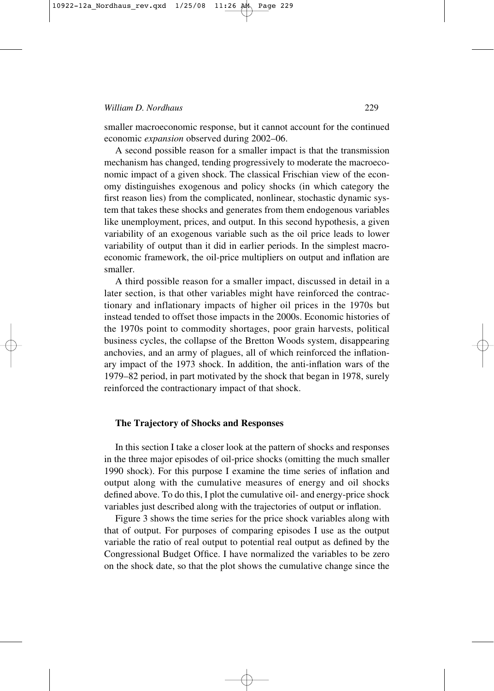smaller macroeconomic response, but it cannot account for the continued economic *expansion* observed during 2002–06.

A second possible reason for a smaller impact is that the transmission mechanism has changed, tending progressively to moderate the macroeconomic impact of a given shock. The classical Frischian view of the economy distinguishes exogenous and policy shocks (in which category the first reason lies) from the complicated, nonlinear, stochastic dynamic system that takes these shocks and generates from them endogenous variables like unemployment, prices, and output. In this second hypothesis, a given variability of an exogenous variable such as the oil price leads to lower variability of output than it did in earlier periods. In the simplest macroeconomic framework, the oil-price multipliers on output and inflation are smaller.

A third possible reason for a smaller impact, discussed in detail in a later section, is that other variables might have reinforced the contractionary and inflationary impacts of higher oil prices in the 1970s but instead tended to offset those impacts in the 2000s. Economic histories of the 1970s point to commodity shortages, poor grain harvests, political business cycles, the collapse of the Bretton Woods system, disappearing anchovies, and an army of plagues, all of which reinforced the inflationary impact of the 1973 shock. In addition, the anti-inflation wars of the 1979–82 period, in part motivated by the shock that began in 1978, surely reinforced the contractionary impact of that shock.

#### **The Trajectory of Shocks and Responses**

In this section I take a closer look at the pattern of shocks and responses in the three major episodes of oil-price shocks (omitting the much smaller 1990 shock). For this purpose I examine the time series of inflation and output along with the cumulative measures of energy and oil shocks defined above. To do this, I plot the cumulative oil- and energy-price shock variables just described along with the trajectories of output or inflation.

Figure 3 shows the time series for the price shock variables along with that of output. For purposes of comparing episodes I use as the output variable the ratio of real output to potential real output as defined by the Congressional Budget Office. I have normalized the variables to be zero on the shock date, so that the plot shows the cumulative change since the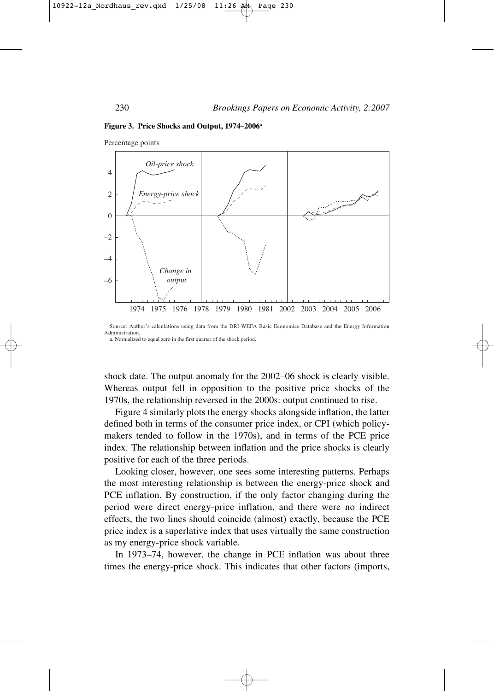

#### **Figure 3. Price Shocks and Output, 1974–2006a**

Percentage points

Source: Author's calculations using data from the DRI-WEFA Basic Economics Database and the Energy Information Administration. a. Normalized to equal zero in the first quarter of the shock period.

shock date. The output anomaly for the 2002–06 shock is clearly visible. Whereas output fell in opposition to the positive price shocks of the 1970s, the relationship reversed in the 2000s: output continued to rise.

Figure 4 similarly plots the energy shocks alongside inflation, the latter defined both in terms of the consumer price index, or CPI (which policymakers tended to follow in the 1970s), and in terms of the PCE price index. The relationship between inflation and the price shocks is clearly positive for each of the three periods.

Looking closer, however, one sees some interesting patterns. Perhaps the most interesting relationship is between the energy-price shock and PCE inflation. By construction, if the only factor changing during the period were direct energy-price inflation, and there were no indirect effects, the two lines should coincide (almost) exactly, because the PCE price index is a superlative index that uses virtually the same construction as my energy-price shock variable.

In 1973–74, however, the change in PCE inflation was about three times the energy-price shock. This indicates that other factors (imports,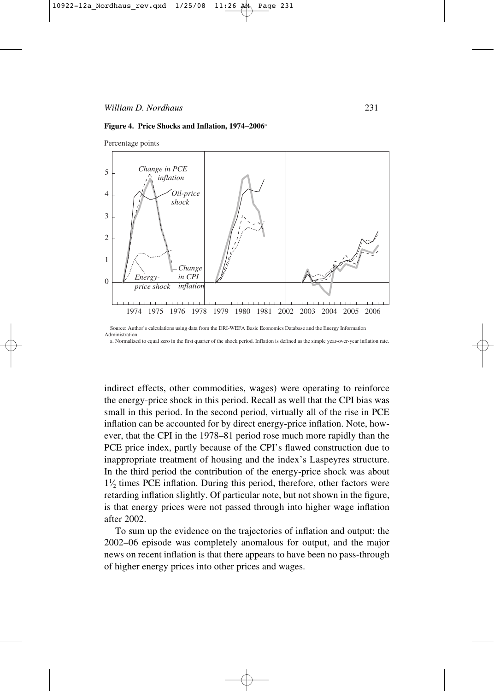



Percentage points

Source: Author's calculations using data from the DRI-WEFA Basic Economics Database and the Energy Information **Administration** 

a. Normalized to equal zero in the first quarter of the shock period. Inflation is defined as the simple year-over-year inflation rate.

indirect effects, other commodities, wages) were operating to reinforce the energy-price shock in this period. Recall as well that the CPI bias was small in this period. In the second period, virtually all of the rise in PCE inflation can be accounted for by direct energy-price inflation. Note, however, that the CPI in the 1978–81 period rose much more rapidly than the PCE price index, partly because of the CPI's flawed construction due to inappropriate treatment of housing and the index's Laspeyres structure. In the third period the contribution of the energy-price shock was about  $1\frac{1}{2}$  times PCE inflation. During this period, therefore, other factors were ⁄ retarding inflation slightly. Of particular note, but not shown in the figure, is that energy prices were not passed through into higher wage inflation after 2002.

To sum up the evidence on the trajectories of inflation and output: the 2002–06 episode was completely anomalous for output, and the major news on recent inflation is that there appears to have been no pass-through of higher energy prices into other prices and wages.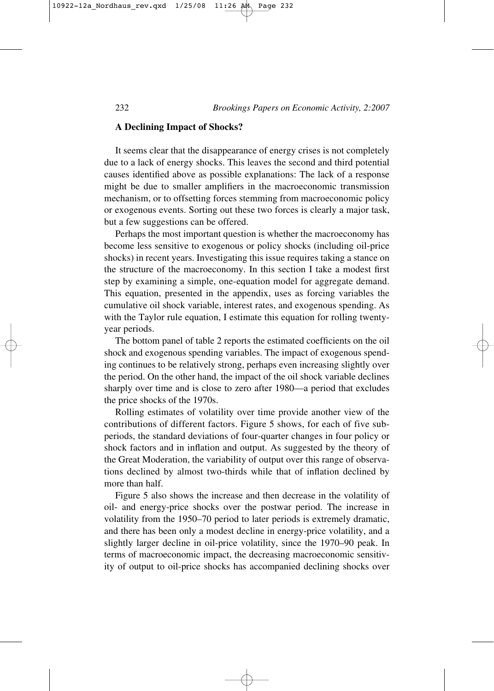#### **A Declining Impact of Shocks?**

It seems clear that the disappearance of energy crises is not completely due to a lack of energy shocks. This leaves the second and third potential causes identified above as possible explanations: The lack of a response might be due to smaller amplifiers in the macroeconomic transmission mechanism, or to offsetting forces stemming from macroeconomic policy or exogenous events. Sorting out these two forces is clearly a major task, but a few suggestions can be offered.

Perhaps the most important question is whether the macroeconomy has become less sensitive to exogenous or policy shocks (including oil-price shocks) in recent years. Investigating this issue requires taking a stance on the structure of the macroeconomy. In this section I take a modest first step by examining a simple, one-equation model for aggregate demand. This equation, presented in the appendix, uses as forcing variables the cumulative oil shock variable, interest rates, and exogenous spending. As with the Taylor rule equation, I estimate this equation for rolling twentyyear periods.

The bottom panel of table 2 reports the estimated coefficients on the oil shock and exogenous spending variables. The impact of exogenous spending continues to be relatively strong, perhaps even increasing slightly over the period. On the other hand, the impact of the oil shock variable declines sharply over time and is close to zero after 1980—a period that excludes the price shocks of the 1970s.

Rolling estimates of volatility over time provide another view of the contributions of different factors. Figure 5 shows, for each of five subperiods, the standard deviations of four-quarter changes in four policy or shock factors and in inflation and output. As suggested by the theory of the Great Moderation, the variability of output over this range of observations declined by almost two-thirds while that of inflation declined by more than half.

Figure 5 also shows the increase and then decrease in the volatility of oil- and energy-price shocks over the postwar period. The increase in volatility from the 1950–70 period to later periods is extremely dramatic, and there has been only a modest decline in energy-price volatility, and a slightly larger decline in oil-price volatility, since the 1970–90 peak. In terms of macroeconomic impact, the decreasing macroeconomic sensitivity of output to oil-price shocks has accompanied declining shocks over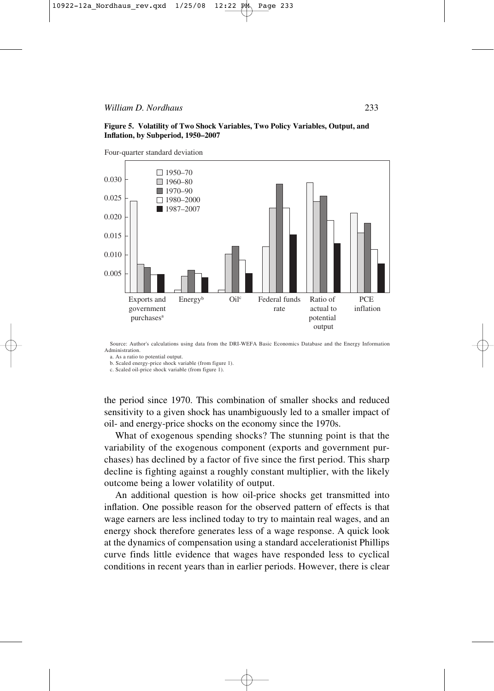#### *William D. Nordhaus* 233

#### **Figure 5. Volatility of Two Shock Variables, Two Policy Variables, Output, and Inflation, by Subperiod, 1950–2007**



Source: Author's calculations using data from the DRI-WEFA Basic Economics Database and the Energy Information Administration.

a. As a ratio to potential output.

b. Scaled energy-price shock variable (from figure 1).

c. Scaled oil-price shock variable (from figure 1).

the period since 1970. This combination of smaller shocks and reduced sensitivity to a given shock has unambiguously led to a smaller impact of oil- and energy-price shocks on the economy since the 1970s.

What of exogenous spending shocks? The stunning point is that the variability of the exogenous component (exports and government purchases) has declined by a factor of five since the first period. This sharp decline is fighting against a roughly constant multiplier, with the likely outcome being a lower volatility of output.

An additional question is how oil-price shocks get transmitted into inflation. One possible reason for the observed pattern of effects is that wage earners are less inclined today to try to maintain real wages, and an energy shock therefore generates less of a wage response. A quick look at the dynamics of compensation using a standard accelerationist Phillips curve finds little evidence that wages have responded less to cyclical conditions in recent years than in earlier periods. However, there is clear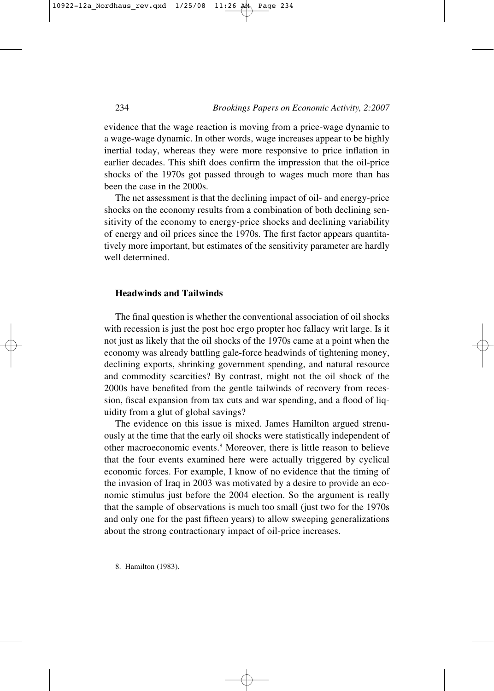evidence that the wage reaction is moving from a price-wage dynamic to a wage-wage dynamic. In other words, wage increases appear to be highly inertial today, whereas they were more responsive to price inflation in earlier decades. This shift does confirm the impression that the oil-price shocks of the 1970s got passed through to wages much more than has been the case in the 2000s.

The net assessment is that the declining impact of oil- and energy-price shocks on the economy results from a combination of both declining sensitivity of the economy to energy-price shocks and declining variability of energy and oil prices since the 1970s. The first factor appears quantitatively more important, but estimates of the sensitivity parameter are hardly well determined.

## **Headwinds and Tailwinds**

The final question is whether the conventional association of oil shocks with recession is just the post hoc ergo propter hoc fallacy writ large. Is it not just as likely that the oil shocks of the 1970s came at a point when the economy was already battling gale-force headwinds of tightening money, declining exports, shrinking government spending, and natural resource and commodity scarcities? By contrast, might not the oil shock of the 2000s have benefited from the gentle tailwinds of recovery from recession, fiscal expansion from tax cuts and war spending, and a flood of liquidity from a glut of global savings?

The evidence on this issue is mixed. James Hamilton argued strenuously at the time that the early oil shocks were statistically independent of other macroeconomic events.8 Moreover, there is little reason to believe that the four events examined here were actually triggered by cyclical economic forces. For example, I know of no evidence that the timing of the invasion of Iraq in 2003 was motivated by a desire to provide an economic stimulus just before the 2004 election. So the argument is really that the sample of observations is much too small (just two for the 1970s and only one for the past fifteen years) to allow sweeping generalizations about the strong contractionary impact of oil-price increases.

8. Hamilton (1983).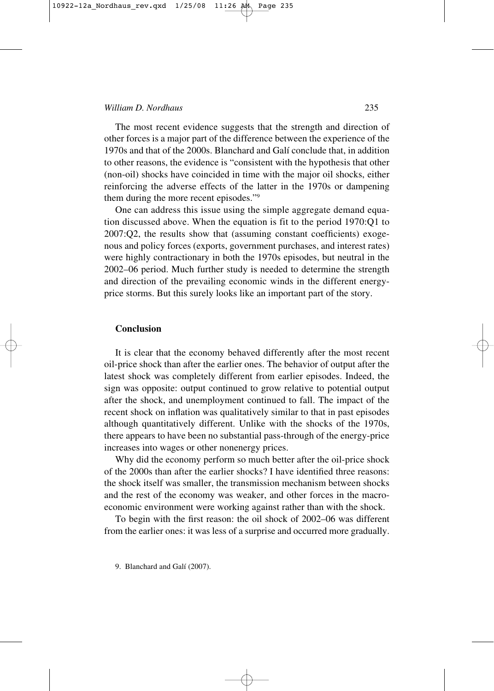#### *William D. Nordhaus* 235

The most recent evidence suggests that the strength and direction of other forces is a major part of the difference between the experience of the 1970s and that of the 2000s. Blanchard and Galí conclude that, in addition to other reasons, the evidence is "consistent with the hypothesis that other (non-oil) shocks have coincided in time with the major oil shocks, either reinforcing the adverse effects of the latter in the 1970s or dampening them during the more recent episodes."9

One can address this issue using the simple aggregate demand equation discussed above. When the equation is fit to the period 1970:Q1 to 2007:Q2, the results show that (assuming constant coefficients) exogenous and policy forces (exports, government purchases, and interest rates) were highly contractionary in both the 1970s episodes, but neutral in the 2002–06 period. Much further study is needed to determine the strength and direction of the prevailing economic winds in the different energyprice storms. But this surely looks like an important part of the story.

## **Conclusion**

It is clear that the economy behaved differently after the most recent oil-price shock than after the earlier ones. The behavior of output after the latest shock was completely different from earlier episodes. Indeed, the sign was opposite: output continued to grow relative to potential output after the shock, and unemployment continued to fall. The impact of the recent shock on inflation was qualitatively similar to that in past episodes although quantitatively different. Unlike with the shocks of the 1970s, there appears to have been no substantial pass-through of the energy-price increases into wages or other nonenergy prices.

Why did the economy perform so much better after the oil-price shock of the 2000s than after the earlier shocks? I have identified three reasons: the shock itself was smaller, the transmission mechanism between shocks and the rest of the economy was weaker, and other forces in the macroeconomic environment were working against rather than with the shock.

To begin with the first reason: the oil shock of 2002–06 was different from the earlier ones: it was less of a surprise and occurred more gradually.

9. Blanchard and Galí (2007).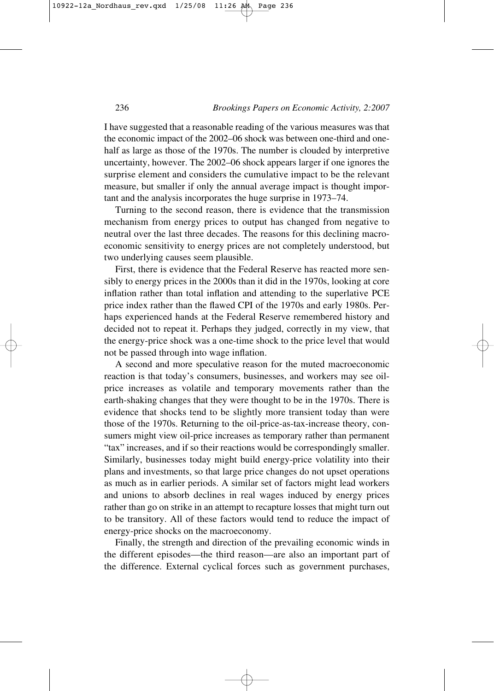I have suggested that a reasonable reading of the various measures was that the economic impact of the 2002–06 shock was between one-third and onehalf as large as those of the 1970s. The number is clouded by interpretive uncertainty, however. The 2002–06 shock appears larger if one ignores the surprise element and considers the cumulative impact to be the relevant measure, but smaller if only the annual average impact is thought important and the analysis incorporates the huge surprise in 1973–74.

Turning to the second reason, there is evidence that the transmission mechanism from energy prices to output has changed from negative to neutral over the last three decades. The reasons for this declining macroeconomic sensitivity to energy prices are not completely understood, but two underlying causes seem plausible.

First, there is evidence that the Federal Reserve has reacted more sensibly to energy prices in the 2000s than it did in the 1970s, looking at core inflation rather than total inflation and attending to the superlative PCE price index rather than the flawed CPI of the 1970s and early 1980s. Perhaps experienced hands at the Federal Reserve remembered history and decided not to repeat it. Perhaps they judged, correctly in my view, that the energy-price shock was a one-time shock to the price level that would not be passed through into wage inflation.

A second and more speculative reason for the muted macroeconomic reaction is that today's consumers, businesses, and workers may see oilprice increases as volatile and temporary movements rather than the earth-shaking changes that they were thought to be in the 1970s. There is evidence that shocks tend to be slightly more transient today than were those of the 1970s. Returning to the oil-price-as-tax-increase theory, consumers might view oil-price increases as temporary rather than permanent "tax" increases, and if so their reactions would be correspondingly smaller. Similarly, businesses today might build energy-price volatility into their plans and investments, so that large price changes do not upset operations as much as in earlier periods. A similar set of factors might lead workers and unions to absorb declines in real wages induced by energy prices rather than go on strike in an attempt to recapture losses that might turn out to be transitory. All of these factors would tend to reduce the impact of energy-price shocks on the macroeconomy.

Finally, the strength and direction of the prevailing economic winds in the different episodes—the third reason—are also an important part of the difference. External cyclical forces such as government purchases,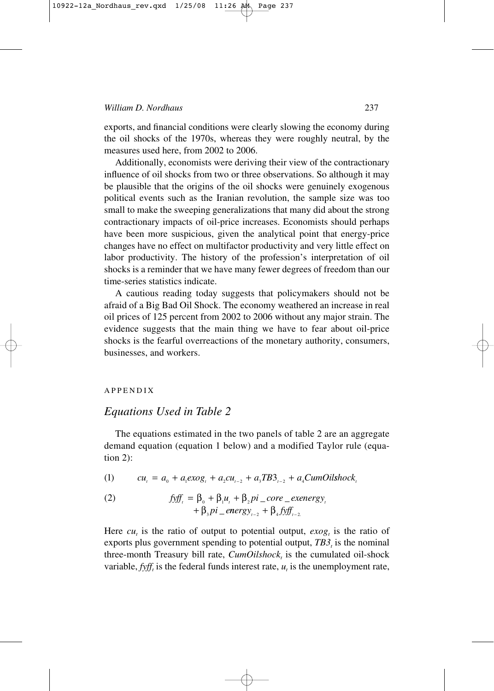exports, and financial conditions were clearly slowing the economy during the oil shocks of the 1970s, whereas they were roughly neutral, by the measures used here, from 2002 to 2006.

Additionally, economists were deriving their view of the contractionary influence of oil shocks from two or three observations. So although it may be plausible that the origins of the oil shocks were genuinely exogenous political events such as the Iranian revolution, the sample size was too small to make the sweeping generalizations that many did about the strong contractionary impacts of oil-price increases. Economists should perhaps have been more suspicious, given the analytical point that energy-price changes have no effect on multifactor productivity and very little effect on labor productivity. The history of the profession's interpretation of oil shocks is a reminder that we have many fewer degrees of freedom than our time-series statistics indicate.

A cautious reading today suggests that policymakers should not be afraid of a Big Bad Oil Shock. The economy weathered an increase in real oil prices of 125 percent from 2002 to 2006 without any major strain. The evidence suggests that the main thing we have to fear about oil-price shocks is the fearful overreactions of the monetary authority, consumers, businesses, and workers.

#### APPENDIX

# *Equations Used in Table 2*

The equations estimated in the two panels of table 2 are an aggregate demand equation (equation 1 below) and a modified Taylor rule (equation 2):

(1) 
$$
cu_{i} = a_{0} + a_{1}exog_{i} + a_{2}cu_{i-2} + a_{3}TB3_{i-2} + a_{4}CumOilshock_{i}
$$

(2) 
$$
\text{fyff}_{i} = \beta_{0} + \beta_{1}u_{i} + \beta_{2}pi\_core\_exenergy_{i} + \beta_{3}pi\_energy_{i-2} + \beta_{4}fyff_{i-2}
$$

Here  $cu_t$  is the ratio of output to potential output,  $exog_t$  is the ratio of exports plus government spending to potential output,  $TB3<sub>t</sub>$  is the nominal three-month Treasury bill rate,  $CumOilshock<sub>t</sub>$  is the cumulated oil-shock variable,  $f y f f$ <sub>i</sub> is the federal funds interest rate,  $u_t$  is the unemployment rate,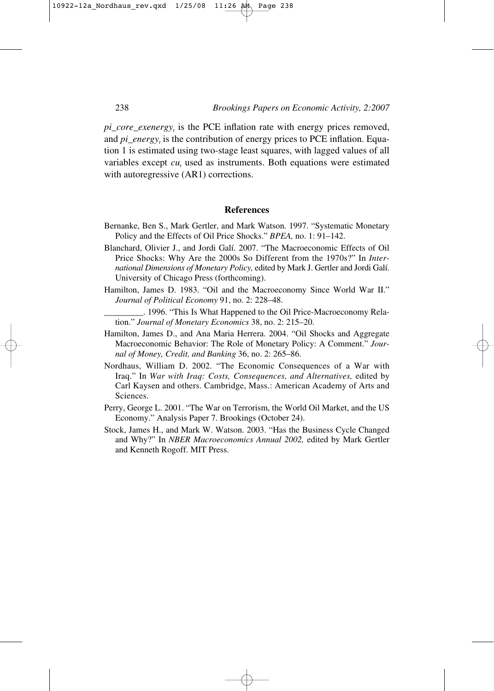$pi\_core\_exenergy_t$  is the PCE inflation rate with energy prices removed, and *pi* energy, is the contribution of energy prices to PCE inflation. Equation 1 is estimated using two-stage least squares, with lagged values of all variables except  $cu_t$  used as instruments. Both equations were estimated with autoregressive  $(AR1)$  corrections.

## **References**

- Bernanke, Ben S., Mark Gertler, and Mark Watson. 1997. "Systematic Monetary Policy and the Effects of Oil Price Shocks." *BPEA,* no. 1: 91–142.
- Blanchard, Olivier J., and Jordi Galí. 2007. "The Macroeconomic Effects of Oil Price Shocks: Why Are the 2000s So Different from the 1970s?" In *International Dimensions of Monetary Policy,* edited by Mark J. Gertler and Jordi Galí. University of Chicago Press (forthcoming).
- Hamilton, James D. 1983. "Oil and the Macroeconomy Since World War II." *Journal of Political Economy* 91, no. 2: 228–48.
	- \_\_\_\_\_\_\_\_\_. 1996. "This Is What Happened to the Oil Price-Macroeconomy Relation." *Journal of Monetary Economics* 38, no. 2: 215–20.
- Hamilton, James D., and Ana Maria Herrera. 2004. "Oil Shocks and Aggregate Macroeconomic Behavior: The Role of Monetary Policy: A Comment." *Journal of Money, Credit, and Banking* 36, no. 2: 265–86.
- Nordhaus, William D. 2002. "The Economic Consequences of a War with Iraq." In *War with Iraq: Costs, Consequences, and Alternatives,* edited by Carl Kaysen and others. Cambridge, Mass.: American Academy of Arts and Sciences.
- Perry, George L. 2001. "The War on Terrorism, the World Oil Market, and the US Economy." Analysis Paper 7. Brookings (October 24).
- Stock, James H., and Mark W. Watson. 2003. "Has the Business Cycle Changed and Why?" In *NBER Macroeconomics Annual 2002,* edited by Mark Gertler and Kenneth Rogoff. MIT Press.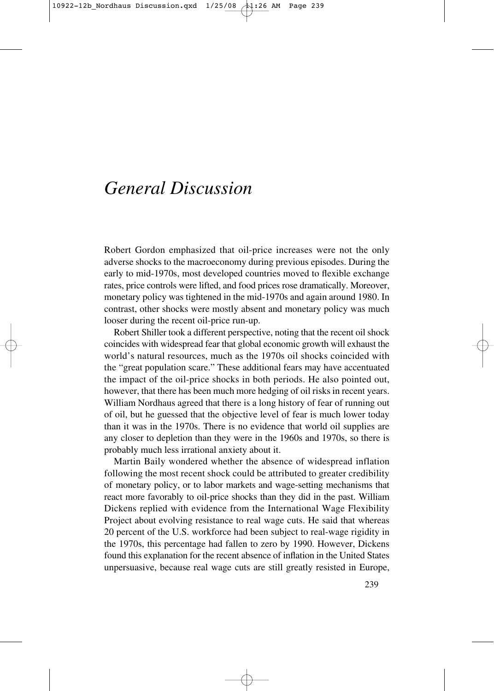# *General Discussion*

Robert Gordon emphasized that oil-price increases were not the only adverse shocks to the macroeconomy during previous episodes. During the early to mid-1970s, most developed countries moved to flexible exchange rates, price controls were lifted, and food prices rose dramatically. Moreover, monetary policy was tightened in the mid-1970s and again around 1980. In contrast, other shocks were mostly absent and monetary policy was much looser during the recent oil-price run-up.

Robert Shiller took a different perspective, noting that the recent oil shock coincides with widespread fear that global economic growth will exhaust the world's natural resources, much as the 1970s oil shocks coincided with the "great population scare." These additional fears may have accentuated the impact of the oil-price shocks in both periods. He also pointed out, however, that there has been much more hedging of oil risks in recent years. William Nordhaus agreed that there is a long history of fear of running out of oil, but he guessed that the objective level of fear is much lower today than it was in the 1970s. There is no evidence that world oil supplies are any closer to depletion than they were in the 1960s and 1970s, so there is probably much less irrational anxiety about it.

Martin Baily wondered whether the absence of widespread inflation following the most recent shock could be attributed to greater credibility of monetary policy, or to labor markets and wage-setting mechanisms that react more favorably to oil-price shocks than they did in the past. William Dickens replied with evidence from the International Wage Flexibility Project about evolving resistance to real wage cuts. He said that whereas 20 percent of the U.S. workforce had been subject to real-wage rigidity in the 1970s, this percentage had fallen to zero by 1990. However, Dickens found this explanation for the recent absence of inflation in the United States unpersuasive, because real wage cuts are still greatly resisted in Europe,